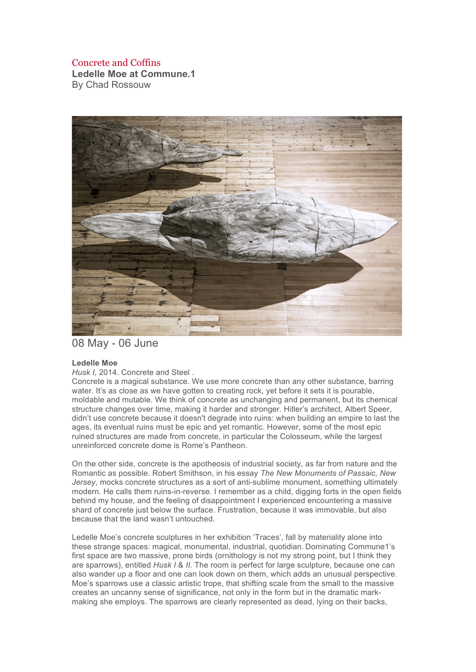## Concrete and Coffins

**Ledelle Moe at Commune.1** By Chad Rossouw



08 May - 06 June

## **Ledelle Moe**

*Husk I,* 2014. Concrete and Steel .

Concrete is a magical substance. We use more concrete than any other substance, barring water. It's as close as we have gotten to creating rock, yet before it sets it is pourable, moldable and mutable. We think of concrete as unchanging and permanent, but its chemical structure changes over time, making it harder and stronger. Hitler's architect, Albert Speer, didn't use concrete because it doesn't degrade into ruins: when building an empire to last the ages, its eventual ruins must be epic and yet romantic. However, some of the most epic ruined structures are made from concrete, in particular the Colosseum, while the largest unreinforced concrete dome is Rome's Pantheon.

On the other side, concrete is the apotheosis of industrial society, as far from nature and the Romantic as possible. Robert Smithson, in his essay *The New Monuments of Passaic, New Jersey*, mocks concrete structures as a sort of anti-sublime monument, something ultimately modern. He calls them ruins-in-reverse. I remember as a child, digging forts in the open fields behind my house, and the feeling of disappointment I experienced encountering a massive shard of concrete just below the surface. Frustration, because it was immovable, but also because that the land wasn't untouched.

Ledelle Moe's concrete sculptures in her exhibition 'Traces', fall by materiality alone into these strange spaces: magical, monumental, industrial, quotidian. Dominating Commune1's first space are two massive, prone birds (ornithology is not my strong point, but I think they are sparrows), entitled *Husk I* & *II.* The room is perfect for large sculpture, because one can also wander up a floor and one can look down on them, which adds an unusual perspective. Moe's sparrows use a classic artistic trope, that shifting scale from the small to the massive creates an uncanny sense of significance, not only in the form but in the dramatic markmaking she employs. The sparrows are clearly represented as dead, lying on their backs,